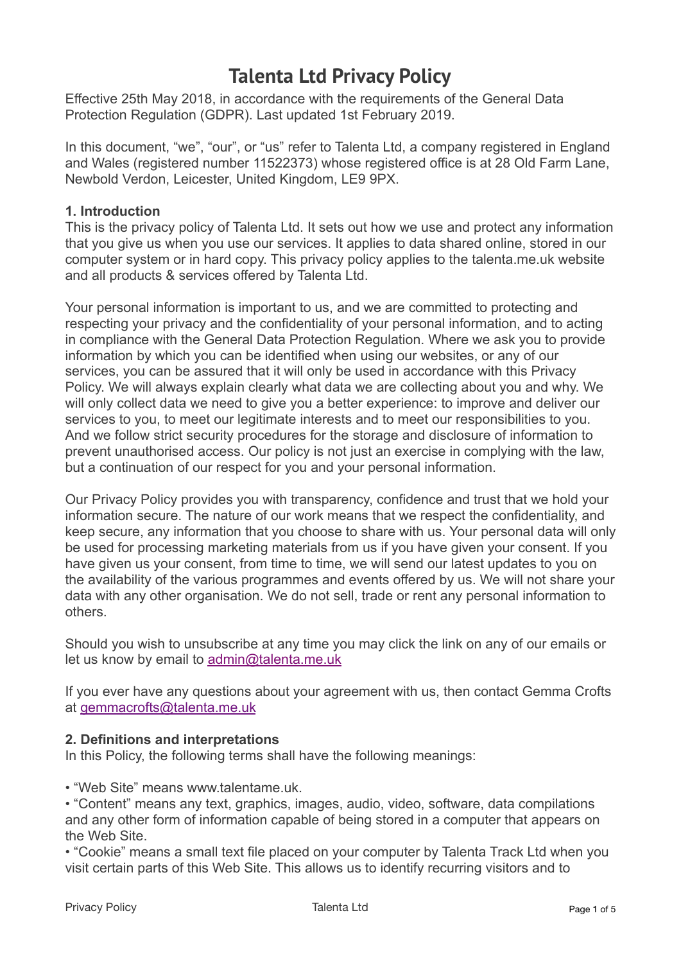# **Talenta Ltd Privacy Policy**

Effective 25th May 2018, in accordance with the requirements of the General Data Protection Regulation (GDPR). Last updated 1st February 2019.

In this document, "we", "our", or "us" refer to Talenta Ltd, a company registered in England and Wales (registered number 11522373) whose registered office is at 28 Old Farm Lane, Newbold Verdon, Leicester, United Kingdom, LE9 9PX.

# **1. Introduction**

This is the privacy policy of Talenta Ltd. It sets out how we use and protect any information that you give us when you use our services. It applies to data shared online, stored in our computer system or in hard copy. This privacy policy applies to the talenta.me.uk website and all products & services offered by Talenta Ltd.

Your personal information is important to us, and we are committed to protecting and respecting your privacy and the confidentiality of your personal information, and to acting in compliance with the General Data Protection Regulation. Where we ask you to provide information by which you can be identified when using our websites, or any of our services, you can be assured that it will only be used in accordance with this Privacy Policy. We will always explain clearly what data we are collecting about you and why. We will only collect data we need to give you a better experience: to improve and deliver our services to you, to meet our legitimate interests and to meet our responsibilities to you. And we follow strict security procedures for the storage and disclosure of information to prevent unauthorised access. Our policy is not just an exercise in complying with the law, but a continuation of our respect for you and your personal information.

Our Privacy Policy provides you with transparency, confidence and trust that we hold your information secure. The nature of our work means that we respect the confidentiality, and keep secure, any information that you choose to share with us. Your personal data will only be used for processing marketing materials from us if you have given your consent. If you have given us your consent, from time to time, we will send our latest updates to you on the availability of the various programmes and events offered by us. We will not share your data with any other organisation. We do not sell, trade or rent any personal information to others.

Should you wish to unsubscribe at any time you may click the link on any of our emails or let us know by email to [admin@talenta.me.uk](mailto:admin@talenta.me.uk)

If you ever have any questions about your agreement with us, then contact Gemma Crofts at [gemmacrofts@talenta.me.uk](mailto:gemmacrofts@talenta.me.uk)

# **2. Definitions and interpretations**

In this Policy, the following terms shall have the following meanings:

• "Web Site" means www.talentame.uk.

• "Content" means any text, graphics, images, audio, video, software, data compilations and any other form of information capable of being stored in a computer that appears on the Web Site.

• "Cookie" means a small text file placed on your computer by Talenta Track Ltd when you visit certain parts of this Web Site. This allows us to identify recurring visitors and to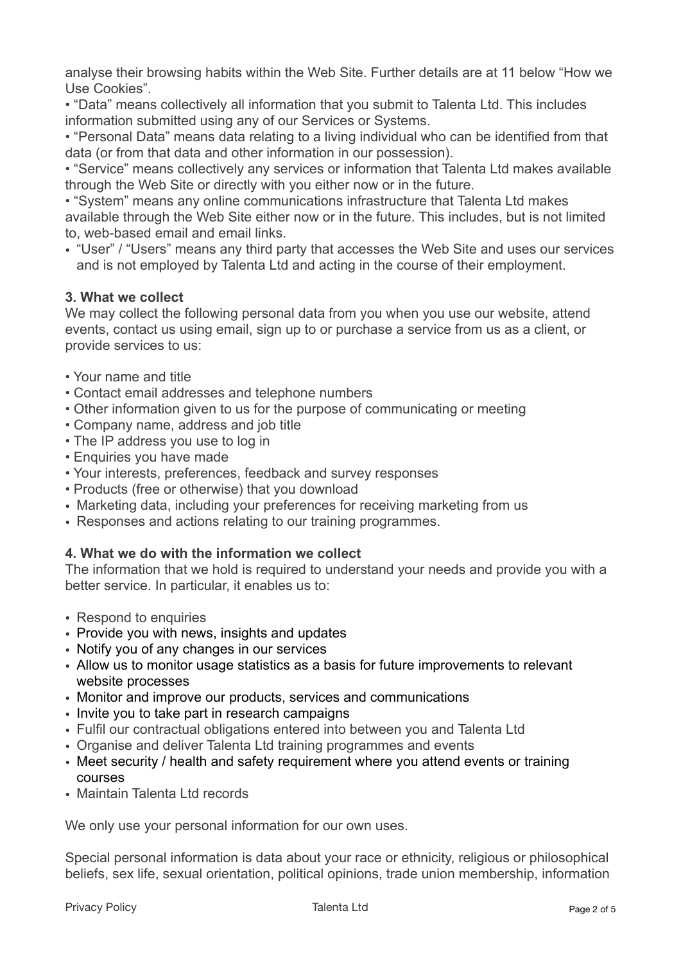analyse their browsing habits within the Web Site. Further details are at 11 below "How we Use Cookies".

• "Data" means collectively all information that you submit to Talenta Ltd. This includes information submitted using any of our Services or Systems.

• "Personal Data" means data relating to a living individual who can be identified from that data (or from that data and other information in our possession).

• "Service" means collectively any services or information that Talenta Ltd makes available through the Web Site or directly with you either now or in the future.

• "System" means any online communications infrastructure that Talenta Ltd makes available through the Web Site either now or in the future. This includes, but is not limited to, web-based email and email links.

• "User" / "Users" means any third party that accesses the Web Site and uses our services and is not employed by Talenta Ltd and acting in the course of their employment.

# **3. What we collect**

We may collect the following personal data from you when you use our website, attend events, contact us using email, sign up to or purchase a service from us as a client, or provide services to us:

- Your name and title
- Contact email addresses and telephone numbers
- Other information given to us for the purpose of communicating or meeting
- Company name, address and job title
- The IP address you use to log in
- Enquiries you have made
- Your interests, preferences, feedback and survey responses
- Products (free or otherwise) that you download
- Marketing data, including your preferences for receiving marketing from us
- Responses and actions relating to our training programmes.

# **4. What we do with the information we collect**

The information that we hold is required to understand your needs and provide you with a better service. In particular, it enables us to:

- Respond to enquiries
- Provide you with news, insights and updates
- Notify you of any changes in our services
- Allow us to monitor usage statistics as a basis for future improvements to relevant website processes
- Monitor and improve our products, services and communications
- Invite you to take part in research campaigns
- Fulfil our contractual obligations entered into between you and Talenta Ltd
- Organise and deliver Talenta Ltd training programmes and events
- Meet security / health and safety requirement where you attend events or training courses
- Maintain Talenta Ltd records

We only use your personal information for our own uses.

Special personal information is data about your race or ethnicity, religious or philosophical beliefs, sex life, sexual orientation, political opinions, trade union membership, information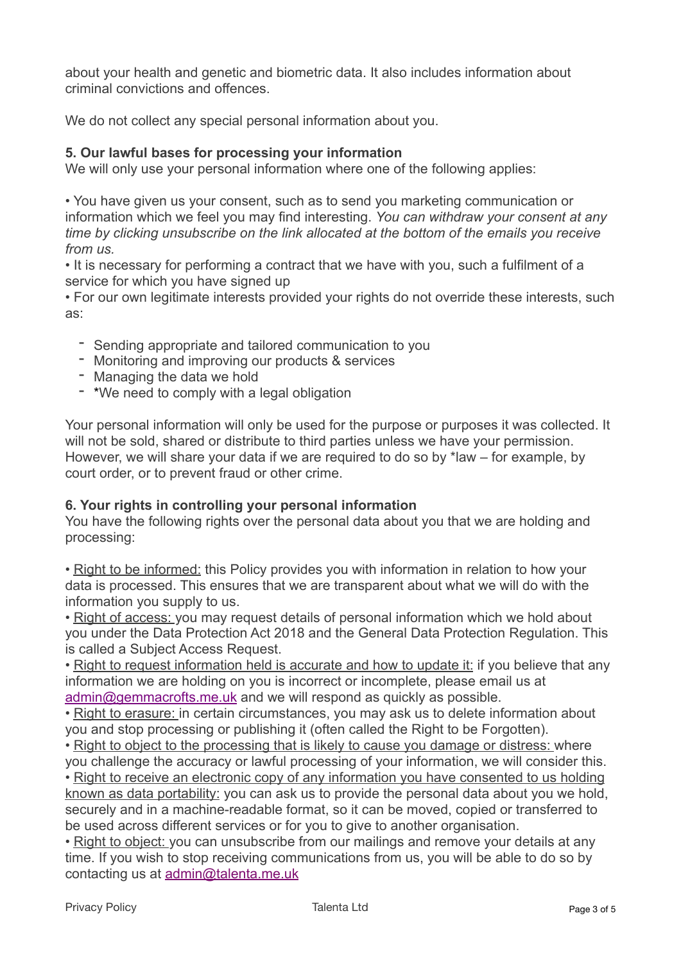about your health and genetic and biometric data. It also includes information about criminal convictions and offences.

We do not collect any special personal information about you.

# **5. Our lawful bases for processing your information**

We will only use your personal information where one of the following applies:

• You have given us your consent, such as to send you marketing communication or information which we feel you may find interesting. *You can withdraw your consent at any time by clicking unsubscribe on the link allocated at the bottom of the emails you receive from us.*

• It is necessary for performing a contract that we have with you, such a fulfilment of a service for which you have signed up

• For our own legitimate interests provided your rights do not override these interests, such as:

- Sending appropriate and tailored communication to you
- Monitoring and improving our products & services
- 
- Managing the data we hold<br>- \*We need to comply with a legal obligation

Your personal information will only be used for the purpose or purposes it was collected. It will not be sold, shared or distribute to third parties unless we have your permission. However, we will share your data if we are required to do so by \*law – for example, by court order, or to prevent fraud or other crime.

# **6. Your rights in controlling your personal information**

You have the following rights over the personal data about you that we are holding and processing:

• Right to be informed: this Policy provides you with information in relation to how your data is processed. This ensures that we are transparent about what we will do with the information you supply to us.

• Right of access: you may request details of personal information which we hold about you under the Data Protection Act 2018 and the General Data Protection Regulation. This is called a Subject Access Request.

• Right to request information held is accurate and how to update it: if you believe that any information we are holding on you is incorrect or incomplete, please email us at [admin@gemmacrofts.me.uk](mailto:admin@gemmacrofts.me.uk) and we will respond as quickly as possible.

• Right to erasure: in certain circumstances, you may ask us to delete information about you and stop processing or publishing it (often called the Right to be Forgotten).

• Right to object to the processing that is likely to cause you damage or distress: where you challenge the accuracy or lawful processing of your information, we will consider this. • Right to receive an electronic copy of any information you have consented to us holding known as data portability: you can ask us to provide the personal data about you we hold, securely and in a machine-readable format, so it can be moved, copied or transferred to be used across different services or for you to give to another organisation.

• Right to object: you can unsubscribe from our mailings and remove your details at any time. If you wish to stop receiving communications from us, you will be able to do so by contacting us at [admin@talenta.me.uk](mailto:admin@talenta.me.uk)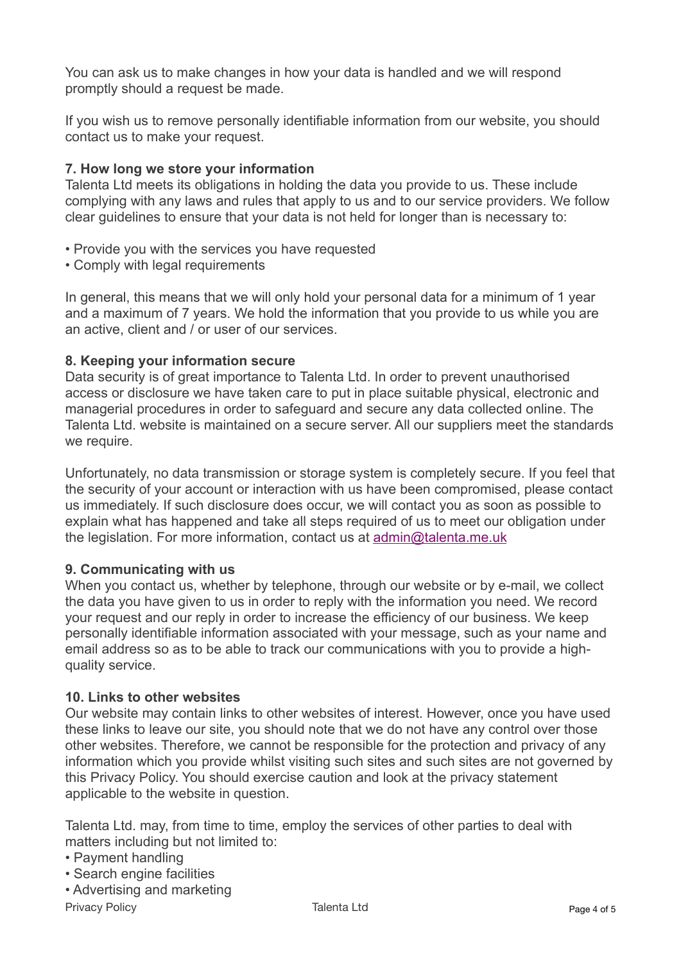You can ask us to make changes in how your data is handled and we will respond promptly should a request be made.

If you wish us to remove personally identifiable information from our website, you should contact us to make your request.

# **7. How long we store your information**

Talenta Ltd meets its obligations in holding the data you provide to us. These include complying with any laws and rules that apply to us and to our service providers. We follow clear guidelines to ensure that your data is not held for longer than is necessary to:

- Provide you with the services you have requested
- Comply with legal requirements

In general, this means that we will only hold your personal data for a minimum of 1 year and a maximum of 7 years. We hold the information that you provide to us while you are an active, client and / or user of our services.

# **8. Keeping your information secure**

Data security is of great importance to Talenta Ltd. In order to prevent unauthorised access or disclosure we have taken care to put in place suitable physical, electronic and managerial procedures in order to safeguard and secure any data collected online. The Talenta Ltd. website is maintained on a secure server. All our suppliers meet the standards we require.

Unfortunately, no data transmission or storage system is completely secure. If you feel that the security of your account or interaction with us have been compromised, please contact us immediately. If such disclosure does occur, we will contact you as soon as possible to explain what has happened and take all steps required of us to meet our obligation under the legislation. For more information, contact us at [admin@talenta.me.uk](mailto:admin@talenta.me.uk)

# **9. Communicating with us**

When you contact us, whether by telephone, through our website or by e-mail, we collect the data you have given to us in order to reply with the information you need. We record your request and our reply in order to increase the efficiency of our business. We keep personally identifiable information associated with your message, such as your name and email address so as to be able to track our communications with you to provide a highquality service.

# **10. Links to other websites**

Our website may contain links to other websites of interest. However, once you have used these links to leave our site, you should note that we do not have any control over those other websites. Therefore, we cannot be responsible for the protection and privacy of any information which you provide whilst visiting such sites and such sites are not governed by this Privacy Policy. You should exercise caution and look at the privacy statement applicable to the website in question.

Talenta Ltd. may, from time to time, employ the services of other parties to deal with matters including but not limited to:

- Payment handling
- Search engine facilities
- Advertising and marketing

Privacy Policy **Provides** Page 4 of 5